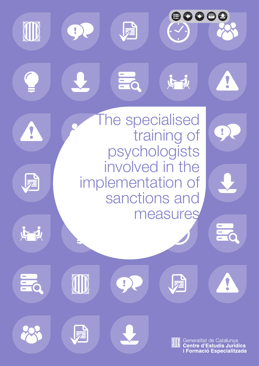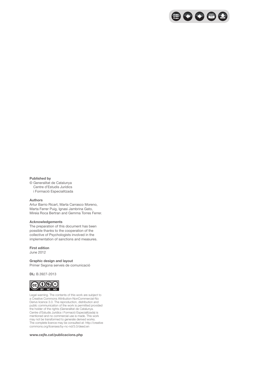

#### **Published by**

© Generalitat de Catalunya Centre d'Estudis Jurídics i Formació Especialitzada

#### **Authors**

Artur Barrio Ricart, Marta Carrasco Moreno, Marta Ferrer Puig, Ignasi Jambrina Gato, Mireia Roca Bertran and Gemma Torres Ferrer.

#### **Acknowledgements**

The preparation of this document has been possible thanks to the cooperation of the collective of Psychologists involved in the implementation of sanctions and measures.

#### **First edition**

June 2012

#### **Graphic design and layout**

Primer Segona serveis de comunicació

#### **DL:** B.3927-2013



Legal warning. The contents of this work are subject to a Creative Commons Attribution-NonCommercial-No Derivs licence 3.0. The reproduction, distribution and public communication of the work is permitted provided the holder of the rights (Generalitat de Catalunya. Centre d'Estudis Jurídics i Formació Especialitzada) is mentioned and no commercial use is made. This work may not be transformed to generate derived works. The complete licence may be consulted at: http://creative commons.org/licenses/by-nc-nd/3.0/deed.en

#### **www.cejfe.cat/publicacions.php**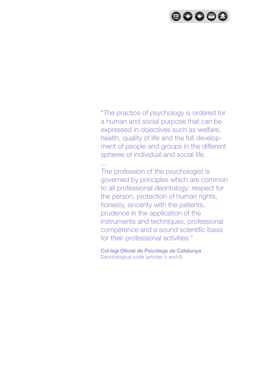# 80088

"The practice of psychology is ordered for a human and social purpose that can be expressed in objectives such as welfare, health, quality of life and the full development of people and groups in the different spheres of individual and social life.

...

The profession of the psychologist is governed by principles which are common to all professional deontology: respect for the person, protection of human rights, honesty, sincerity with the patients, prudence in the application of the instruments and techniques, professional competence and a sound scientific basis for their professional activities."

Col·legi Oficial de Psicòlegs de Catalunya Deontological code (articles 5 and 6)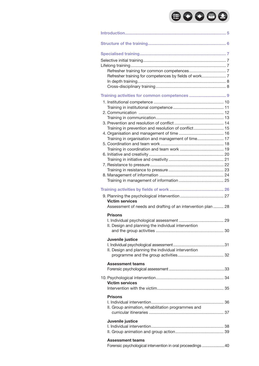# 80088

| Training in prevention and resolution of conflict 15         |  |
|--------------------------------------------------------------|--|
| Training in organisation and management of time 17           |  |
|                                                              |  |
|                                                              |  |
|                                                              |  |
|                                                              |  |
|                                                              |  |
|                                                              |  |
|                                                              |  |
|                                                              |  |
|                                                              |  |
|                                                              |  |
| <b>Victim services</b>                                       |  |
| Assessment of needs and drafting of an intervention plan  28 |  |
| <b>Prisons</b>                                               |  |
|                                                              |  |
| II. Design and planning the individual intervention          |  |
|                                                              |  |
| Juvenile justice                                             |  |
|                                                              |  |
| II. Design and planning the individual intervention          |  |
|                                                              |  |
|                                                              |  |
| <b>Assessment teams</b>                                      |  |
|                                                              |  |
|                                                              |  |
| <b>Victim services</b>                                       |  |
|                                                              |  |
| <b>Prisons</b>                                               |  |
|                                                              |  |
| II. Group animation, rehabilitation programmes and           |  |
|                                                              |  |
|                                                              |  |
| Juvenile justice                                             |  |
|                                                              |  |
|                                                              |  |
| Assessment teams                                             |  |
| Forensic psychological intervention in oral proceedings 40   |  |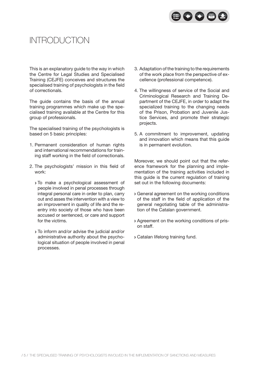

# Introduction

This is an explanatory guide to the way in which the Centre for Legal Studies and Specialised Training (CEJFE) conceives and structures the specialised training of psychologists in the field of correctionals.

The guide contains the basis of the annual training programmes which make up the specialised training available at the Centre for this group of professionals.

The specialised training of the psychologists is based on 5 basic principles:

- 1. Permanent consideration of human rights and international recommendations for training staff working in the field of correctionals.
- 2. The psychologists' mission in this field of work:
	- To make a psychological assessment of people involved in penal processes through integral personal care in order to plan, carry out and asses the intervention with a view to an improvement in quality of life and the reentry into society of those who have been accused or sentenced, or care and support for the victims.
	- To inform and/or advise the judicial and/or administrative authority about the psychological situation of people involved in penal processes.
- 3. Adaptation of the training to the requirements of the work place from the perspective of excellence (professional competence).
- 4. The willingness of service of the Social and Criminological Research and Training Department of the CEJFE, in order to adapt the specialized training to the changing needs of the Prison, Probation and Juvenile Justice Services, and promote their strategic projects.
- 5. A commitment to improvement, updating and innovation which means that this guide is in permanent evolution.

Moreover, we should point out that the reference framework for the planning and implementation of the training activities included in this guide is the current regulation of training set out in the following documents:

- General agreement on the working conditions of the staff in the field of application of the general negotiating table of the administration of the Catalan government.
- Agreement on the working conditions of prison staff.
- Catalan lifelong training fund.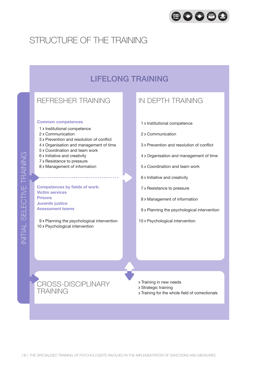

# Structure of the training

# LIFELONG TRAINING

## REFRESHER TRAINING

#### **Common competences**

- 1 > Institutional competence
- 2 > Communication
- 3 Prevention and resolution of conflict
- 4 Organisation and management of time
- 5 Coordination and team work
- 6 > Initiative and creativity
- 7 > Resistance to pressure
- 8 > Management of information

**Competences by fields of work: Victim services Prisons Juvenile justice Assessment teams**

9 > Planning the psychological intervention 10 > Psychological intervention

### in DEPTH TRAINING

- 1 > Institutional competence
- 2 Communication
- 3 Prevention and resolution of conflict
- 4 Organisation and management of time
- 5 Coordination and team work
- 6 > Initiative and creativity
- 7 > Resistance to pressure
- 8 > Management of information
- 9 > Planning the psychological intervention
- 10 > Psychological intervention

- CROSS-DISCIPLINARY TRAINING
- **> Training in new needs**
- Strategic training
- Training for the whole field of correctionals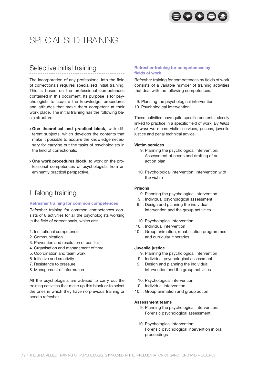

# SPECIALISED TRAINING

# Selective initial training

The incorporation of any professional into the field of correctionals requires specialised initial training. This is based on the professional competences contained in this document. Its purpose is for psychologists to acquire the knowledge, procedures and attitudes that make them competent at their work place. The initial training has the following basic structure:

- **One theoretical and practical block**, with different subjects, which develops the contents that make it possible to acquire the knowledge necessary for carrying out the tasks of psychologists in the field of correctionals.
- **One work procedures block**, to work on the professional competences of psychologists from an eminently practical perspective.

# Lifelong training

#### **Refresher training for common competences**

Refresher training for common competences consists of 8 activities for all the psychologists working in the field of correctionals, which are:

- 1. Institutional competence
- 2. Communication
- 3. Prevention and resolution of conflict
- 4. Organisation and management of time
- 5. Coordination and team work
- 6. Initiative and creativity
- 7. Resistance to pressure
- 8. Management of information

All the psychologists are advised to carry out the training activities that make up this block or to select the ones in which they have no previous training or need a refresher.

#### **Refresher training for competences by fields of work**

Refresher training for competences by fields of work consists of a variable number of training activities that deal with the following competences:

- 9. Planning the psychological intervention
- 10. Psychological intervention

These activities have quite specific contents, closely linked to practice in a specific field of work. By *fields of work* we mean: victim services, prisons, juvenile justice and penal technical advice.

#### **Victim services**

- 9. Planning the psychological intervention: Assessment of needs and drafting of an action plan
- 10. Psychological intervention: Intervention with the victim

#### **Prisons**

- 9. Planning the psychological intervention
- 9.I. Individual psychological assessment
- 9.II. Design and planning the individual intervention and the group activities
- 10. Psychological intervention
- 10.I. Individual intervention
- 10.II. Group animation, rehabilitation programmes and curricular itineraries

#### **Juvenile justice**

- 9. Planning the psychological intervention
- 9.I. Individual psychological assessment
- 9.II. Design and planning the individual intervention and the group activities
- 10. Psychological intervention
- 10.I. Individual intervention
- 10.II. Group animation and group action

#### **Assessment teams**

- 9. Planning the psychological intervention: Forensic psychological assessment
- 10. Psychological intervention: Forensic psychological intervention in oral proceedings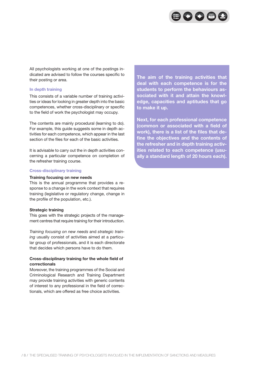

All psychologists working at one of the postings indicated are advised to follow the courses specific to their posting or area.

#### **In depth training**

This consists of a variable number of training activities or ideas for looking in greater depth into the basic competences, whether cross-disciplinary or specific to the field of work the psychologist may occupy.

The contents are mainly procedural (learning to do). For example, this guide suggests some in depth activities for each competence, which appear in the last section of the files for each of the basic activities.

It is advisable to carry out the in depth activities concerning a particular competence on completion of the refresher training course.

#### **Cross-disciplinary training**

#### **Training focusing on new needs**

This is the annual programme that provides a response to a change in the work context that requires training (legislative or regulatory change, change in the profile of the population, etc.).

#### **Strategic training**

This goes with the strategic projects of the management centres that require training for their introduction.

*Training focusing on new needs* and *strategic training* usually consist of activities aimed at a particular group of professionals, and it is each directorate that decides which persons have to do them.

#### **Cross-disciplinary training for the whole field of correctionals**

Moreover, the training programmes of the Social and Criminological Research and Training Department may provide training activities with generic contents of interest to any professional in the field of correctionals, which are offered as free choice activities.

**The aim of the training activities that deal with each competence is for the students to perform the behaviours associated with it and attain the knowledge, capacities and aptitudes that go to make it up.**

**Next, for each professional competence (common or associated with a field of work), there is a list of the files that define the objectives and the contents of the refresher and in depth training activities related to each competence (usually a standard length of 20 hours each).**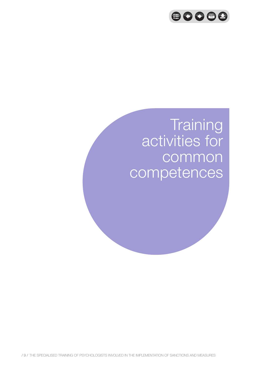

# **Training** activities for common competences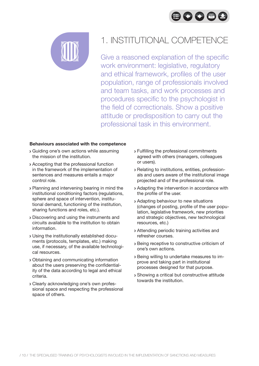



# 1. INSTITUTIONAL COMPETENCE

Give a reasoned explanation of the specific work environment: legislative, regulatory and ethical framework, profiles of the user population, range of professionals involved and team tasks, and work processes and procedures specific to the psychologist in the field of correctionals. Show a positive attitude or predisposition to carry out the professional task in this environment.

- Guiding one's own actions while assuming the mission of the institution.
- Accepting that the professional function in the framework of the implementation of sentences and measures entails a major control role.
- Planning and intervening bearing in mind the institutional conditioning factors (regulations, sphere and space of intervention, institutional demand, functioning of the institution, sharing functions and roles, etc.).
- Discovering and using the instruments and circuits available to the institution to obtain information.
- Using the institutionally established documents (protocols, templates, etc.) making use, if necessary, of the available technological resources.
- Obtaining and communicating information about the users preserving the confidentiality of the data according to legal and ethical criteria.
- Clearly acknowledging one's own professional space and respecting the professional space of others.
- Fulfilling the professional commitments agreed with others (managers, colleagues or users).
- Relating to institutions, entities, professionals and users aware of the institutional image projected and of the professional role.
- Adapting the intervention in accordance with the profile of the user.
- Adapting behaviour to new situations (changes of posting, profile of the user population, legislative framework, new priorities and strategic objectives, new technological resources, etc.)
- Attending periodic training activities and refresher courses.
- Being receptive to constructive criticism of one's own actions.
- Being willing to undertake measures to improve and taking part in institutional processes designed for that purpose.
- Showing a critical but constructive attitude towards the institution.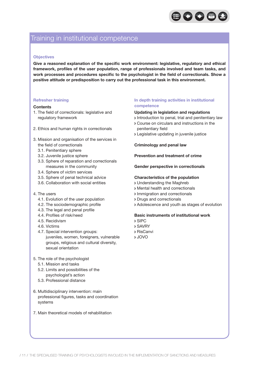

## Training in institutional competence

#### **Objectives**

**Give a reasoned explanation of the specific work environment: legislative, regulatory and ethical framework, profiles of the user population, range of professionals involved and team tasks, and work processes and procedures specific to the psychologist in the field of correctionals. Show a positive attitude or predisposition to carry out the professional task in this environment.**

#### **Refresher training**

#### **Contents**

- 1. The field of correctionals: legislative and regulatory framework
- 2. Ethics and human rights in correctionals
- 3. Mission and organisation of the services in the field of correctionals
	- 3.1. Penitentiary sphere
	- 3.2. Juvenile justice sphere
	- 3.3. Sphere of reparation and correctionals measures in the community
	- 3.4. Sphere of victim services
	- 3.5. Sphere of penal technical advice
	- 3.6. Collaboration with social entities
- 4. The users
	- 4.1. Evolution of the user population
	- 4.2. The sociodemographic profile
	- 4.3. The legal and penal profile
	- 4.4. Profiles of risk/need
	- 4.5. Recidivism
	- 4.6. Victims
	- 4.7. Special intervention groups: juveniles, women, foreigners, vulnerable groups, religious and cultural diversity, sexual orientation
- 5. The role of the psychologist
	- 5.1. Mission and tasks
	- 5.2. Limits and possibilities of the psychologist's action
	- 5.3. Professional distance
- 6. Multidisciplinary intervention: main professional figures, tasks and coordination systems
- 7. Main theoretical models of rehabilitation

#### **In depth training activities in institutional competence**

#### **Updating in legislation and regulations**

- Introduction to penal, trial and penitentiary law
- Course on circulars and instructions in the penitentiary field
- Legislative updating in juvenile justice

#### **Criminology and penal law**

#### **Prevention and treatment of crime**

#### **Gender perspective in correctionals**

#### **Characteristics of the population**

- Understanding the Maghreb
- Mental health and correctionals
- Immigration and correctionals
- Drugs and correctionals
- Adolescence and youth as stages of evolution

#### **Basic instruments of institutional work**

- SIPC
- SAVRY
- RisCanvi
- JOVO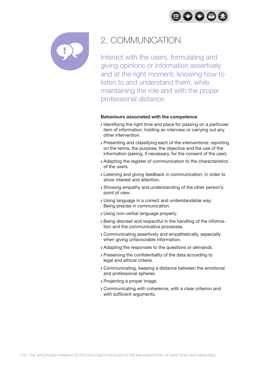$\bigoplus$   $\bigodot$   $\bigoplus$   $\bigoplus$ 



# 2. COMMUNICATION

Interact with the users, formulating and giving opinions or information assertively and at the right moment; knowing how to listen to and understand them, while maintaining the role and with the proper professional distance.

- Identifying the right time and place for passing on a particular item of information, holding an interview or carrying out any other intervention.
- Presenting and classifying each of the interventions: reporting on the terms, the purpose, the objective and the use of the information (asking, if necessary, for the consent of the user).
- Adapting the register of communication to the characteristics of the users.
- Listening and giving feedback in communication, in order to show interest and attention.
- Showing empathy and understanding of the other person's point of view.
- Using language in a correct and understandable way. Being precise in communication.
- Using non-verbal language properly.
- Being discreet and respectful in the handling of the information and the communicative processes.
- Communicating assertively and empathetically, especially when giving unfavourable information.
- Adapting the responses to the questions or demands.
- Preserving the confidentiality of the data according to legal and ethical criteria.
- Communicating, keeping a distance between the emotional and professional spheres.
- Projecting a proper image.
- Communicating with coherence, with a clear criterion and with sufficient arguments.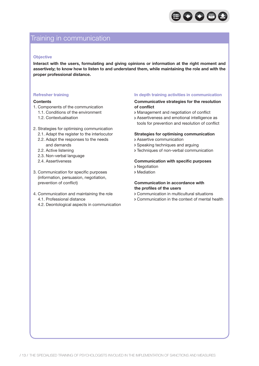

## Training in communication

#### **Objective**

**Interact with the users, formulating and giving opinions or information at the right moment and assertively; to know how to listen to and understand them, while maintaining the role and with the proper professional distance.**

#### **Refresher training**

#### **Contents**

- 1. Components of the communication
	- 1.1. Conditions of the environment
	- 1.2. Contextualisation
- 2. Strategies for optimising communication
	- 2.1. Adapt the register to the interlocutor
	- 2.2. Adapt the responses to the needs and demands
	- 2.2. Active listening
	- 2.3. Non-verbal language
	- 2.4. Assertiveness
- 3. Communication for specific purposes (information, persuasion, negotiation, prevention of conflict)
- 4. Communication and maintaining the role 4.1. Professional distance
	- 4.2. Deontological aspects in communication

#### **In depth training activities in communication**

#### **Communicative strategies for the resolution of conflict**

- Management and negotiation of conflict
- Assertiveness and emotional intelligence as tools for prevention and resolution of conflict

#### **Strategies for optimising communication**

- Assertive communication
- Speaking techniques and arguing
- Techniques of non-verbal communication

#### **Communication with specific purposes**

- Negotiation
- Mediation

#### **Communication in accordance with the profiles of the users**

- Communication in multicultural situations
- Communication in the context of mental health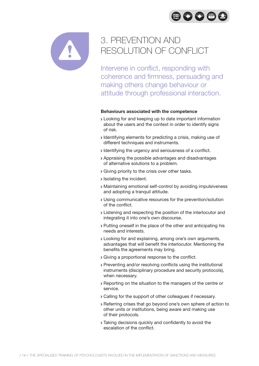



# 3. PREVENTION AND RESOLUTION OF CONFLICT

Intervene in conflict, responding with coherence and firmness, persuading and making others change behaviour or attitude through professional interaction.

- Looking for and keeping up to date important information about the users and the context in order to identify signs of risk.
- Identifying elements for predicting a crisis, making use of different techniques and instruments.
- Identifying the urgency and seriousness of a conflict.
- Appraising the possible advantages and disadvantages of alternative solutions to a problem.
- Giving priority to the crisis over other tasks.
- **>** Isolating the incident.
- Maintaining emotional self-control by avoiding impulsiveness and adopting a tranquil attitude.
- Using communicative resources for the prevention/solution of the conflict.
- Listening and respecting the position of the interlocutor and integrating it into one's own discourse.
- Putting oneself in the place of the other and anticipating his needs and interests.
- Looking for and explaining, among one's own arguments, advantages that will benefit the interlocutor. Mentioning the benefits the agreements may bring.
- Giving a proportional response to the conflict.
- Preventing and/or resolving conflicts using the institutional instruments (disciplinary procedure and security protocols), when necessary.
- Reporting on the situation to the managers of the centre or service.
- Calling for the support of other colleagues if necessary.
- Referring crises that go beyond one's own sphere of action to other units or institutions, being aware and making use of their protocols.
- Taking decisions quickly and confidently to avoid the escalation of the conflict.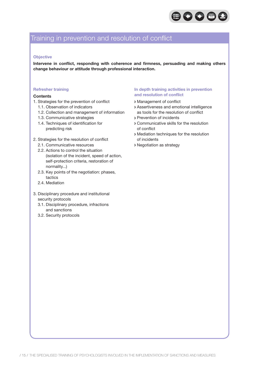

# Training in prevention and resolution of conflict

#### **Objective**

**Intervene in conflict, responding with coherence and firmness, persuading and making others change behaviour or attitude through professional interaction.**

#### **Refresher training**

#### **Contents**

- 1. Strategies for the prevention of conflict
	- 1.1. Observation of indicators
	- 1.2. Collection and management of information
	- 1.3. Communicative strategies
	- 1.4. Techniques of identification for predicting risk
- 2. Strategies for the resolution of conflict
	- 2.1. Communicative resources
	- 2.2. Actions to control the situation (isolation of the incident, speed of action, self-protection criteria, restoration of normality...)
	- 2.3. Key points of the negotiation: phases, tactics
	- 2.4. Mediation
- 3. Disciplinary procedure and institutional security protocols
	- 3.1. Disciplinary procedure, infractions and sanctions
	- 3.2. Security protocols

#### **In depth training activities in prevention and resolution of conflict**

- Management of conflict
- Assertiveness and emotional intelligence as tools for the resolution of conflict
- Prevention of incidents
- Communicative skills for the resolution of conflict
- Mediation techniques for the resolution of incidents
- Negotiation as strategy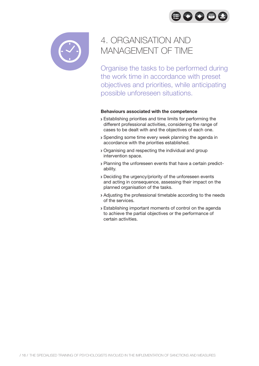80086



# 4. ORGANISATION AND MANAGEMENT OF TIME

Organise the tasks to be performed during the work time in accordance with preset objectives and priorities, while anticipating possible unforeseen situations.

- Establishing priorities and time limits for performing the different professional activities, considering the range of cases to be dealt with and the objectives of each one.
- Spending some time every week planning the agenda in accordance with the priorities established.
- Organising and respecting the individual and group intervention space.
- Planning the unforeseen events that have a certain predictability.
- Deciding the urgency/priority of the unforeseen events and acting in consequence, assessing their impact on the planned organisation of the tasks.
- Adjusting the professional timetable according to the needs of the services.
- Establishing important moments of control on the agenda to achieve the partial objectives or the performance of certain activities.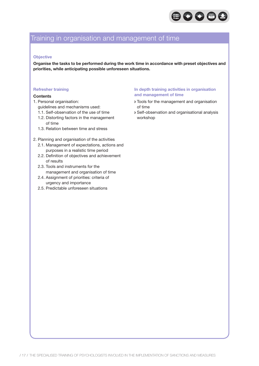

# Training in organisation and management of time

#### **Objective**

**Organise the tasks to be performed during the work time in accordance with preset objectives and priorities, while anticipating possible unforeseen situations.**

#### **Refresher training**

#### **Contents**

- 1. Personal organisation:
	- guidelines and mechanisms used:
	- 1.1. Self-observation of the use of time
	- 1.2. Distorting factors in the management of time
	- 1.3. Relation between time and stress

#### 2. Planning and organisation of the activities

- 2.1. Management of expectations, actions and purposes in a realistic time period
- 2.2. Definition of objectives and achievement of results
- 2.3. Tools and instruments for the management and organisation of time
- 2.4. Assignment of priorities: criteria of urgency and importance
- 2.5. Predictable unforeseen situations

#### **In depth training activities in organisation and management of time**

- Tools for the management and organisation of time
- Self-observation and organisational analysis workshop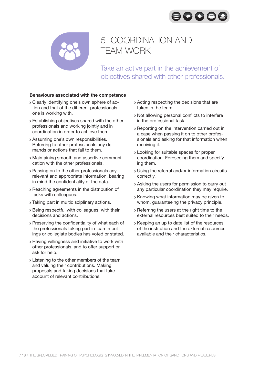



# 5. COORDINATION AND TEAM WORK

Take an active part in the achievement of objectives shared with other professionals.

- Clearly identifying one's own sphere of action and that of the different professionals one is working with.
- Establishing objectives shared with the other professionals and working jointly and in coordination in order to achieve them.
- Assuming one's own responsibilities. Referring to other professionals any demands or actions that fall to them.
- Maintaining smooth and assertive communication with the other professionals.
- Passing on to the other professionals any relevant and appropriate information, bearing in mind the confidentiality of the data.
- Reaching agreements in the distribution of tasks with colleagues.
- Taking part in multidisciplinary actions.
- Being respectful with colleagues, with their decisions and actions.
- Preserving the confidentiality of what each of the professionals taking part in team meetings or collegiate bodies has voted or stated.
- Having willingness and initiative to work with other professionals, and to offer support or ask for help.
- **>** Listening to the other members of the team and valuing their contributions. Making proposals and taking decisions that take account of relevant contributions.
- Acting respecting the decisions that are taken in the team.
- Not allowing personal conflicts to interfere in the professional task.
- Reporting on the intervention carried out in a case when passing it on to other professionals and asking for that information when receiving it.
- Looking for suitable spaces for proper coordination. Foreseeing them and specifying them.
- Using the referral and/or information circuits correctly.
- Asking the users for permission to carry out any particular coordination they may require.
- Knowing what information may be given to whom, guaranteeing the privacy principle.
- Referring the users at the right time to the external resources best suited to their needs.
- Keeping an up to date list of the resources of the institution and the external resources available and their characteristics.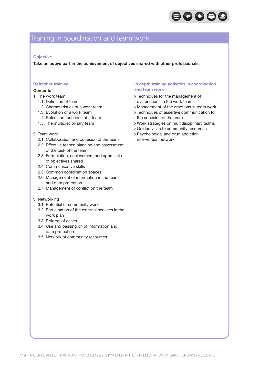

# Training in coordination and team work

#### **Objective**

**Take an active part in the achievement of objectives shared with other professionals.**

#### **Refresher training**

#### **Contents**

- 1. The work team
	- 1.1. Definition of team
	- 1.2. Characteristics of a work team
	- 1.3. Evolution of a work team
	- 1.4. Roles and functions of a team
	- 1.5. The multidisciplinary team

#### 2. Team work

- 2.1. Collaboration and cohesion of the team
- 2.2. Effective teams: planning and assessment of the task of the team
- 2.3. Formulation, achievement and appraisals of objectives shared
- 2.4. Communicative skills
- 2.5. Common coordination spaces
- 2.6. Management of information in the team and data protection
- 2.7. Management of conflict on the team
- 3. Networking
	- 3.1. Potential of community work
	- 3.2. Participation of the external services in the work plan
	- 3.3. Referral of cases
	- 3.4. Use and passing on of information and data protection
	- 3.5. Network of community resources

#### **In depth training activities in coordination and team work**

- Techniques for the management of dysfunctions in the work teams
- Management of the emotions in team work
- Techniques of assertive communication for the cohesion of the team
- Work strategies on multidisciplinary teams
- Guided visits to community resources
- Psychological and drug addiction intervention network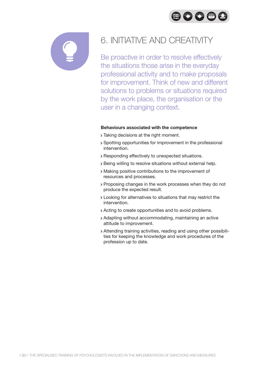



# 6. INITIATIVE AND CREATIVITY

Be proactive in order to resolve effectively the situations those arise in the everyday professional activity and to make proposals for improvement. Think of new and different solutions to problems or situations required by the work place, the organisation or the user in a changing context.

- **Taking decisions at the right moment.**
- Spotting opportunities for improvement in the professional intervention.
- Responding effectively to unexpected situations.
- Being willing to resolve situations without external help.
- Making positive contributions to the improvement of resources and processes.
- Proposing changes in the work processes when they do not produce the expected result.
- Looking for alternatives to situations that may restrict the intervention.
- Acting to create opportunities and to avoid problems.
- Adapting without accommodating, maintaining an active attitude to improvement.
- Attending training activities, reading and using other possibilities for keeping the knowledge and work procedures of the profession up to date.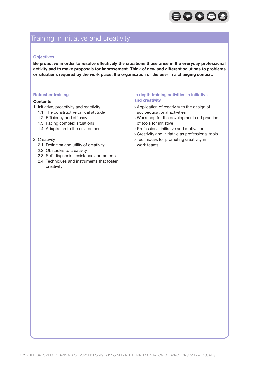

# Training in initiative and creativity

#### **Objectives**

**Be proactive in order to resolve effectively the situations those arise in the everyday professional activity and to make proposals for improvement. Think of new and different solutions to problems or situations required by the work place, the organisation or the user in a changing context.**

#### **Refresher training**

#### **Contents**

- 1. Initiative, proactivity and reactivity
	- 1.1. The constructive critical attitude
	- 1.2. Efficiency and efficacy
	- 1.3. Facing complex situations
	- 1.4. Adaptation to the environment

#### 2. Creativity

- 2.1. Definition and utility of creativity
- 2.2. Obstacles to creativity
- 2.3. Self-diagnosis, resistance and potential
- 2.4. Techniques and instruments that foster creativity

#### **In depth training activities in initiative and creativity**

- Application of creativity to the design of socioeducational activities
- Workshop for the development and practice of tools for initiative
- Professional initiative and motivation
- Creativity and initiative as professional tools
- Techniques for promoting creativity in work teams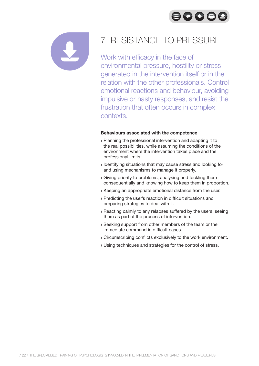$\bigoplus$  000



# 7. RESISTANCE TO PRESSURE

Work with efficacy in the face of environmental pressure, hostility or stress generated in the intervention itself or in the relation with the other professionals. Control emotional reactions and behaviour, avoiding impulsive or hasty responses, and resist the frustration that often occurs in complex contexts.

- Planning the professional intervention and adapting it to the real possibilities, while assuming the conditions of the environment where the intervention takes place and the professional limits.
- Identifying situations that may cause stress and looking for and using mechanisms to manage it properly.
- Giving priority to problems, analysing and tackling them consequentially and knowing how to keep them in proportion.
- Keeping an appropriate emotional distance from the user.
- Predicting the user's reaction in difficult situations and preparing strategies to deal with it.
- Reacting calmly to any relapses suffered by the users, seeing them as part of the process of intervention.
- Seeking support from other members of the team or the immediate command in difficult cases.
- Circumscribing conflicts exclusively to the work environment.
- Using techniques and strategies for the control of stress.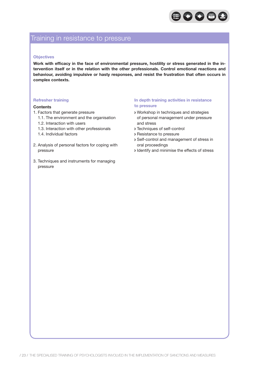

## Training in resistance to pressure

#### **Objectives**

**Work with efficacy in the face of environmental pressure, hostility or stress generated in the intervention itself or in the relation with the other professionals. Control emotional reactions and behaviour, avoiding impulsive or hasty responses, and resist the frustration that often occurs in complex contexts.**

#### **Refresher training**

#### **Contents**

- 1. Factors that generate pressure
	- 1.1. The environment and the organisation
	- 1.2. Interaction with users
	- 1.3. Interaction with other professionals
	- 1.4. Individual factors
- 2. Analysis of personal factors for coping with pressure
- 3. Techniques and instruments for managing pressure

#### **In depth training activities in resistance to pressure**

- Workshop in techniques and strategies of personal management under pressure and stress
- Techniques of self-control
- Resistance to pressure
- Self-control and management of stress in oral proceedings
- I dentify and minimise the effects of stress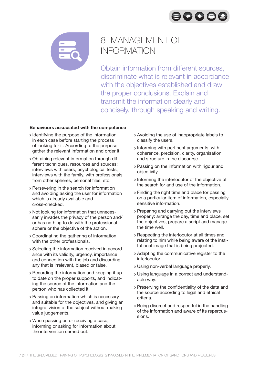



# 8. MANAGEMENT OF INFORMATION

Obtain information from different sources, discriminate what is relevant in accordance with the objectives established and draw the proper conclusions. Explain and transmit the information clearly and concisely, through speaking and writing.

- I dentifying the purpose of the information in each case before starting the process of looking for it. According to the purpose, gather the relevant information and order it.
- Obtaining relevant information through different techniques, resources and sources: interviews with users, psychological tests, interviews with the family, with professionals from other spheres, personal files, etc.
- Persevering in the search for information and avoiding asking the user for information which is already available and cross-checked.
- Not looking for information that unnecessarily invades the privacy of the person and/ or has nothing to do with the professional sphere or the objective of the action.
- Coordinating the gathering of information with the other professionals.
- Selecting the information received in accordance with its validity, urgency, importance and connection with the job and discarding any that is irrelevant, biased or false.
- Recording the information and keeping it up to date on the proper supports, and indicating the source of the information and the person who has collected it.
- Passing on information which is necessary and suitable for the objectives, and giving an integral vision of the subject without making value judgements.
- When passing on or receiving a case, informing or asking for information about the intervention carried out.
- Avoiding the use of inappropriate labels to classify the users.
- Informing with pertinent arguments, with coherence, precision, clarity, organisation and structure in the discourse.
- Passing on the information with rigour and objectivity.
- Informing the interlocutor of the objective of the search for and use of the information.
- Finding the right time and place for passing on a particular item of information, especially sensitive information.
- Preparing and carrying out the interviews properly: arrange the day, time and place, set the objectives, prepare a script and manage the time well.
- Respecting the interlocutor at all times and relating to him while being aware of the institutional image that is being projected.
- Adapting the communicative register to the interlocutor.
- Using non-verbal language properly.
- Using language in a correct and understandable way.
- Preserving the confidentiality of the data and the source according to legal and ethical criteria.
- Being discreet and respectful in the handling of the information and aware of its repercussions.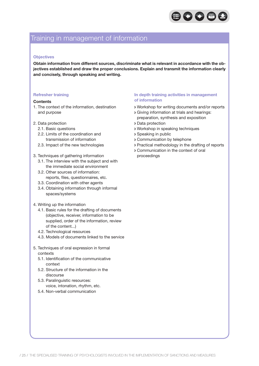

## Training in management of information

#### **Objectives**

**Obtain information from different sources, discriminate what is relevant in accordance with the objectives established and draw the proper conclusions. Explain and transmit the information clearly and concisely, through speaking and writing.**

#### **Refresher training**

#### **Contents**

- 1. The context of the information, destination and purpose
- 2. Data protection
	- 2.1. Basic questions
	- 2.2. Limits of the coordination and transmission of information
	- 2.3. Impact of the new technologies
- 3. Techniques of gathering information
	- 3.1. The interview with the subject and with the immediate social environment
	- 3.2. Other sources of information: reports, files, questionnaires, etc.
	- 3.3. Coordination with other agents
	- 3.4. Obtaining information through informal spaces/systems
- 4. Writing up the information
	- 4.1. Basic rules for the drafting of documents (objective, receiver, information to be supplied, order of the information, review of the content...)
	- 4.2. Technological resources
	- 4.3. Models of documents linked to the service
- 5. Techniques of oral expression in formal contexts
	- 5.1. Identification of the communicative context
	- 5.2. Structure of the information in the discourse
	- 5.3. Paralinguistic resources: voice, intonation, rhythm, etc.
	- 5.4. Non-verbal communication

#### **In depth training activities in management of information**

- Workshop for writing documents and/or reports
- Giving information at trials and hearings: preparation, synthesis and exposition
- Data protection
- Workshop in speaking techniques
- Speaking in public
- Communication by telephone
- Practical methodology in the drafting of reports
- Communication in the context of oral proceedings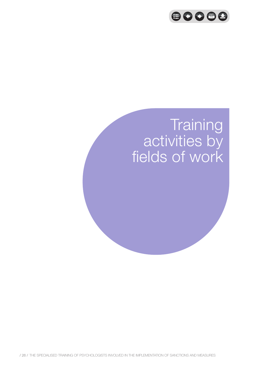

# **Training** activities by fields of work

/ 26 / The specialised training of psychologists involved in the implementation of sanctions and measures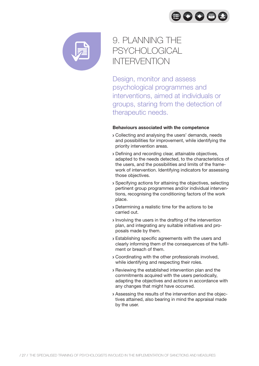



# 9. PLANNING THE **PSYCHOLOGICAL** INTERVENTION

Design, monitor and assess psychological programmes and interventions, aimed at individuals or groups, staring from the detection of therapeutic needs.

- Collecting and analysing the users' demands, needs and possibilities for improvement, while identifying the priority intervention areas.
- Defining and recording clear, attainable objectives, adapted to the needs detected, to the characteristics of the users, and the possibilities and limits of the framework of intervention. Identifying indicators for assessing those objectives.
- Specifying actions for attaining the objectives, selecting pertinent group programmes and/or individual interventions, recognising the conditioning factors of the work place.
- Determining a realistic time for the actions to be carried out.
- Involving the users in the drafting of the intervention plan, and integrating any suitable initiatives and proposals made by them.
- Establishing specific agreements with the users and clearly informing them of the consequences of the fulfilment or breach of them.
- Coordinating with the other professionals involved, while identifying and respecting their roles.
- Reviewing the established intervention plan and the commitments acquired with the users periodically, adapting the objectives and actions in accordance with any changes that might have occurred.
- Assessing the results of the intervention and the objectives attained, also bearing in mind the appraisal made by the user.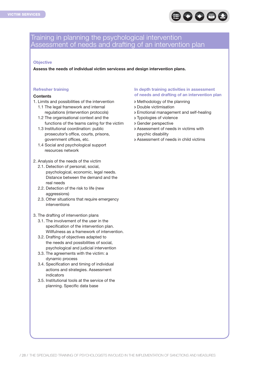

### Training in planning the psychological intervention Assessment of needs and drafting of an intervention plan

#### **Objective**

**Assess the needs of individual victim servicess and design intervention plans.**

#### **Refresher training**

#### **Contents**

- 1. Limits and possibilities of the intervention
	- 1.1 The legal framework and internal regulations (intervention protocols)
	- 1.2 The organisational context and the functions of the teams caring for the victim
	- 1.3 Institutional coordination: public prosecutor's office, courts, prisons, government offices, etc.
	- 1.4 Social and psychological support resources network
- 2. Analysis of the needs of the victim
	- 2.1. Detection of personal, social, psychological, economic, legal needs. Distance between the demand and the real needs
	- 2.2. Detection of the risk to life (new aggressions)
	- 2.3. Other situations that require emergency interventions
- 3. The drafting of intervention plans
	- 3.1. The involvement of the user in the specification of the intervention plan. Willfulness as a framework of intervention.
	- 3.2. Drafting of objectives adapted to the needs and possibilities of social, psychological and judicial intervention
	- 3.3. The agreements with the victim: a dynamic process
	- 3.4. Specification and timing of individual actions and strategies. Assessment indicators
	- 3.5. Institutional tools at the service of the planning. Specific data base

#### **In depth training activities in assessment of needs and drafting of an intervention plan**

- Methodology of the planning
- Double victimisation
- Emotional management and self-healing
- Typologies of violence
- Gender perspective
- Assessment of needs in victims with psychic disability
- Assessment of needs in child victims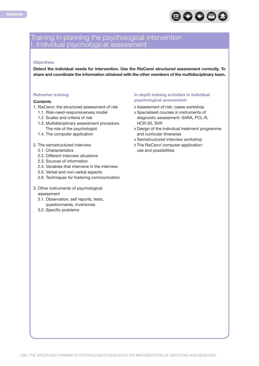

### Training in planning the psychological intervention I. Individual psychological assessment

#### **Objectives**

**Detect the individual needs for intervention. Use the RisCanvi structured assessment correctly. To share and coordinate the information obtained with the other members of the multidisciplinary team.**

#### **Refresher training**

#### **Contents**

- 1. RisCanvi: the structured assessment of risk
	- 1.1. Risk-need-responsiveness model
	- 1.2. Scales and criteria of risk
	- 1.3. Multidisciplinary assessment procedure. The role of the psychologist
	- 1.4. The computer application

#### 2. The semistructured interview

- 2.1. Characteristics
- 2.2. Different interview situations
- 2.3. Sources of information
- 2.4. Variables that intervene in the interview
- 2.5. Verbal and non-verbal aspects
- 2.6. Techniques for fostering communication
- 3. Other instruments of psychological assessment
	- 3.1. Observation, self reports, tests, questionnaires, inventories
	- 3.2. Specific problems

#### **In depth training activities in individual psychological assessment**

- Assessment of risk: cases workshop
- Specialised courses in instruments of diagnostic assessment: SARA, PCL-R, HCR-20, SVR
- Design of the individual treatment programme and curricular itineraries
- Semistructured interview workshop
- The RisCanvi computer application: use and possibilities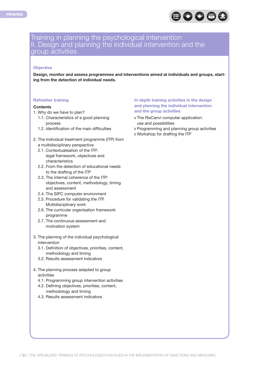

### Training in planning the psychological intervention II. Design and planning the individual intervention and the group activities

#### **Objective**

**Design, monitor and assess programmes and interventions aimed at individuals and groups, starting from the detection of individual needs.**

#### **Refresher training**

#### **Contents**

- 1. Why do we have to plan?
	- 1.1. Characteristics of a good planning process
	- 1.2. Identification of the main difficulties
- 2. The Individual treatment programme (ITP) from a multidisciplinary perspective
	- 2.1. Contextualisation of the ITP: legal framework, objectives and characteristics
	- 2.2. From the detection of educational needs to the drafting of the ITP
	- 2.3. The internal coherence of the ITP: objectives, content, methodology, timing and assessment
	- 2.4. The SIPC computer environment
	- 2.5. Procedure for validating the ITP. Multidisciplinary work
	- 2.6. The curricular organisation framework programme
	- 2.7. The continuous assessment and motivation system
- 3. The planning of the individual psychological intervention
	- 3.1. Definition of objectives, priorities, content, methodology and timing
	- 3.2. Results assessment indicators
- 4. The planning process adapted to group activities
	- 4.1. Programming group intervention activities
	- 4.2. Defining objectives, priorities, content, methodology and timing
	- 4.3. Results assessment indicators

#### **In depth training activities in the design and planning the individual intervention and the group activities**

- The RisCanvi computer application: use and possibilities
- Programming and planning group activities
- Workshop for drafting the ITP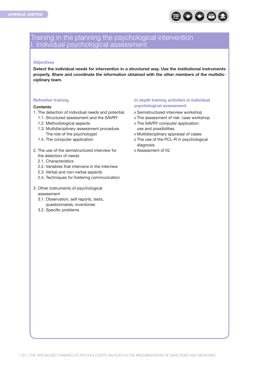

### Training in the planning the psychological intervention I. Individual psychological assessment

#### **Objectives**

**Detect the individual needs for intervention in a structured way. Use the institutional instruments properly. Share and coordinate the information obtained with the other members of the multidisciplinary team.**

#### **Refresher training**

#### **Contents**

- 1. The detection of individual needs and potential
	- 1.1. Structured assessment and the SAVRY
	- 1.2. Methodological aspects
	- 1.3. Multidisciplinary assessment procedure. The role of the psychologist
	- 1.4. The computer application
- 2. The use of the semistructured interview for the detection of needs
	- 2.1. Characteristics
	- 2.2. Variables that intervene in the interview
	- 2.3. Verbal and non-verbal aspects
	- 2.4. Techniques for fostering communication
- 3. Other instruments of psychological assessment
	- 3.1. Observation, self reports, tests, questionnaires, inventories
	- 3.2. Specific problems

#### **In depth training activities in individual psychological assessment**

- Semistructured interview workshop
- > The assessment of risk: case workshop
- The SAVRY computer application: use and possibilities
- Multidisciplinary appraisal of cases
- > The use of the PCL-R in psychological diagnosis
- Assessment of IQ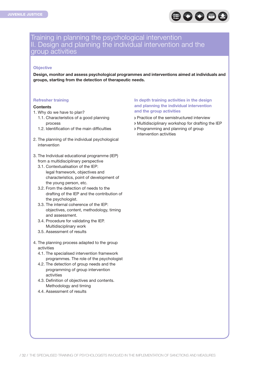

### Training in planning the psychological intervention II. Design and planning the individual intervention and the group activities

#### **Objective**

**Design, monitor and assess psychological programmes and interventions aimed at individuals and groups, starting from the detection of therapeutic needs.**

#### **Refresher training**

#### **Contents**

- 1. Why do we have to plan?
	- 1.1. Characteristics of a good planning process
	- 1.2. Identification of the main difficulties
- 2. The planning of the individual psychological intervention
- 3. The Individual educational programme (IEP) from a multidisciplinary perspective
	- 3.1. Contextualisation of the IEP: legal framework, objectives and characteristics, point of development of the young person, etc.
	- 3.2. From the detection of needs to the drafting of the IEP and the contribution of the psychologist.
	- 3.3. The internal coherence of the IEP: objectives, content, methodology, timing and assessment.
	- 3.4. Procedure for validating the IEP. Multidisciplinary work
	- 3.5. Assessment of results
- 4. The planning process adapted to the group activities
	- 4.1. The specialised intervention framework programmes. The role of the psychologist
	- 4.2. The detection of group needs and the programming of group intervention activities
	- 4.3. Definition of objectives and contents. Methodology and timing
	- 4.4. Assessment of results

#### **In depth training activities in the design and planning the individual intervention and the group activities**

- Practice of the semistructured interview
- Multidisciplinary workshop for drafting the IEP
- Programming and planning of group intervention activities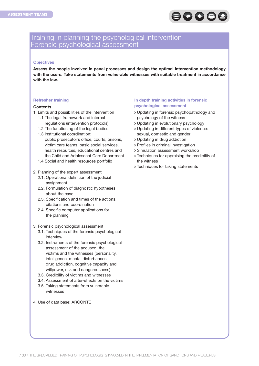

### Training in planning the psychological intervention Forensic psychological assessment

#### **Objectives**

**Assess the people involved in penal processes and design the optimal intervention methodology with the users. Take statements from vulnerable witnesses with suitable treatment in accordance with the law.**

#### **Refresher training**

#### **Contents**

- 1. Limits and possibilities of the intervention
	- 1.1 The legal framework and internal regulations (intervention protocols)
	- 1.2 The functioning of the legal bodies
	- 1.3 Institutional coordination: public prosecutor's office, courts, prisons, victim care teams, basic social services, health resources, educational centres and the Child and Adolescent Care Department
	- 1.4 Social and health resources portfolio

#### 2. Planning of the expert assessment

- 2.1. Operational definition of the judicial assignment
- 2.2. Formulation of diagnostic hypotheses about the case
- 2.3. Specification and times of the actions, citations and coordination
- 2.4. Specific computer applications for the planning

#### 3. Forensic psychological assessment

- 3.1. Techniques of the forensic psychological interview
- 3.2. Instruments of the forensic psychological assessment of the accused, the victims and the witnesses (personality, intelligence, mental disturbances, drug addiction, cognitive capacity and willpower, risk and dangerousness)
- 3.3. Credibility of victims and witnesses
- 3.4. Assessment of after-effects on the victims
- 3.5. Taking statements from vulnerable witnesses
- 4. Use of data base: ARCONTE

#### **In depth training activities in forensic psychological assessment**

- Updating in forensic psychopathology and psychology of the witness
- Updating in evolutionary psychology
- Updating in different types of violence: sexual, domestic and gender
- Updating in drug addiction
- Profiles in criminal investigation
- Simulation assessment workshop
- Techniques for appraising the credibility of the witness
- **> Techniques for taking statements**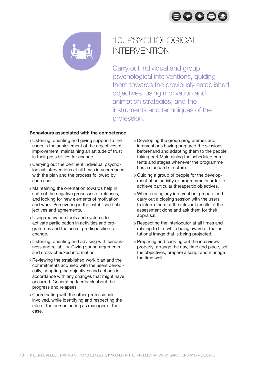



# 10. PSYCHOLOGICAL INTERVENTION

Carry out individual and group psychological interventions, guiding them towards the previously established objectives, using motivation and animation strategies, and the instruments and techniques of the profession.

- Listening, orienting and giving support to the users in the achievement of the objectives of improvement, maintaining an attitude of trust in their possibilities for change.
- Carrying out the pertinent individual psychological interventions at all times in accordance with the plan and the process followed by each user.
- Maintaining the orientation towards help in spite of the negative processes or relapses, and looking for new elements of motivation and work. Persevering in the established objectives and agreements.
- Using motivation tools and systems to activate participation in activities and programmes and the users' predisposition to change.
- Listening, orienting and advising with seriousness and reliability. Giving sound arguments and cross-checked information.
- Reviewing the established work plan and the commitments acquired with the users periodically, adapting the objectives and actions in accordance with any changes that might have occurred. Generating feedback about the progress and relapses.
- Coordinating with the other professionals involved, while identifying and respecting the role of the person acting as manager of the case.
- Developing the group programmes and interventions having prepared the sessions beforehand and adapting them to the people taking part Maintaining the scheduled contents and stages whenever the programme has a standard structure.
- Guiding a group of people for the development of an activity or programme in order to achieve particular therapeutic objectives.
- When ending any intervention, prepare and carry out a closing session with the users to inform them of the relevant results of the assessment done and ask them for their appraisal.
- Respecting the interlocutor at all times and relating to him while being aware of the institutional image that is being projected.
- Preparing and carrying out the interviews properly: arrange the day, time and place, set the objectives, prepare a script and manage the time well.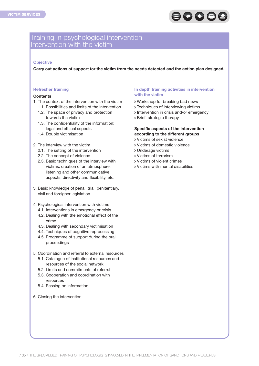

### Training in psychological intervention Intervention with the victim

#### **Objective**

**Carry out actions of support for the victim from the needs detected and the action plan designed.**

#### **Refresher training**

#### **Contents**

- 1. The context of the intervention with the victim
	- 1.1. Possibilities and limits of the intervention
	- 1.2. The space of privacy and protection towards the victim
	- 1.3. The confidentiality of the information: legal and ethical aspects
	- 1.4. Double victimisation
- 2. The interview with the victim
	- 2.1. The setting of the intervention
	- 2.2. The concept of violence
	- 2.3. Basic techniques of the interview with victims: creation of an atmosphere; listening and other communicative aspects; directivity and flexibility, etc.
- 3. Basic knowledge of penal, trial, penitentiary, civil and foreigner legislation
- 4. Psychological intervention with victims
	- 4.1. Interventions in emergency or crisis
	- 4.2. Dealing with the emotional effect of the crime
	- 4.3. Dealing with secondary victimisation
	- 4.4. Techniques of cognitive reprocessing
	- 4.5. Programme of support during the oral proceedings
- 5. Coordination and referral to external resources
	- 5.1. Catalogue of institutional resources and resources of the social network
	- 5.2. Limits and commitments of referral
	- 5.3. Cooperation and coordination with resources
	- 5.4. Passing on information
- 6. Closing the intervention

#### **In depth training activities in intervention with the victim**

- Workshop for breaking bad news
- Techniques of interviewing victims
- Intervention in crisis and/or emergency
- Brief, strategic therapy

#### **Specific aspects of the intervention according to the different groups**

- Victims of sexist violence
- Victims of domestic violence
- Underage victims
- Victims of terrorism
- Victims of violent crimes
- Victims with mental disabilities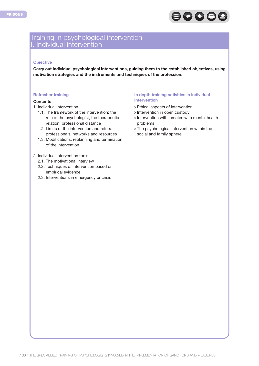

### Training in psychological intervention I. Individual intervention

#### **Objective**

**Carry out individual psychological interventions, guiding them to the established objectives, using motivation strategies and the instruments and techniques of the profession.**

#### **Refresher training**

#### **Contents**

- 1. Individual intervention
	- 1.1. The framework of the intervention: the role of the psychologist, the therapeutic relation, professional distance
	- 1.2. Limits of the intervention and referral: professionals, networks and resources
	- 1.3. Modifications, replanning and termination of the intervention

#### 2. Individual intervention tools

- 2.1. The motivational interview
- 2.2. Techniques of intervention based on empirical evidence
- 2.3. Interventions in emergency or crisis

#### **In depth training activities in individual intervention**

- Ethical aspects of intervention
- > Intervention in open custody
- Intervention with inmates with mental health problems
- The psychological intervention within the social and family sphere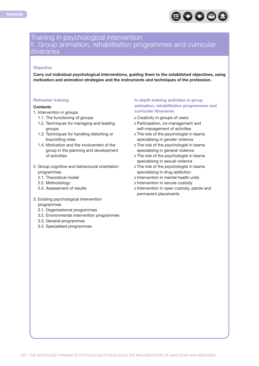

### Training in psychological intervention II. Group animation, rehabilitation programmes and curricular itineraries

#### **Objective**

**Carry out individual psychological interventions, guiding them to the established objectives, using motivation and animation strategies and the instruments and techniques of the profession.**

#### **Refresher training**

#### **Contents**

- 1. Intervention in groups
	- 1.1. The functioning of groups
	- 1.2. Techniques for managing and leading groups
	- 1.3. Techniques for handling distorting or boycotting roles
	- 1.4. Motivation and the involvement of the group in the planning and development of activities
- 2. Group cognitive and behavioural orientation programmes
	- 2.1. Theoretical model
	- 2.2. Methodology
	- 2.3. Assessment of results
- 3. Existing psychological intervention
	- programmes
	- 3.1. Organisational programmes
	- 3.2. Environmental intervention programmes
	- 3.3. General programmes
	- 3.4. Specialised programmes

#### **In depth training activities in group animation, rehabilitation programmes and curricular itineraries**

- Creativity in groups of users
- Participation, co-management and self-management of activities
- > The role of the psychologist in teams specialising in gender violence
- The role of the psychologist in teams specialising in general violence
- The role of the psychologist in teams specialising in sexual violence
- > The role of the psychologist in teams specialising in drug addiction
- Intervention in mental health units
- **Intervention in secure custody**
- Intervention in open custody, parole and permanent placements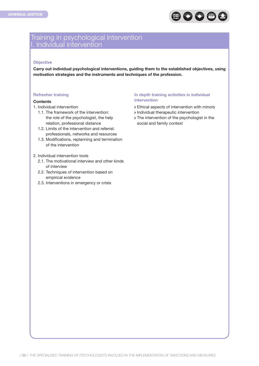

### Training in psychological intervention I. Individual intervention

#### **Objective**

**Carry out individual psychological interventions, guiding them to the established objectives, using motivation strategies and the instruments and techniques of the profession.**

#### **Refresher training**

#### **Contents**

- 1. Individual intervention
	- 1.1. The framework of the intervention: the role of the psychologist, the help relation, professional distance
	- 1.2. Limits of the intervention and referral: professionals, networks and resources
	- 1.3. Modifications, replanning and termination of the intervention

#### 2. Individual intervention tools

- 2.1. The motivational interview and other kinds of interview
- 2.2. Techniques of intervention based on empirical evidence
- 2.3. Interventions in emergency or crisis

#### **In depth training activities in individual intervention**

- Ethical aspects of intervention with minors
- Individual therapeutic intervention
- > The intervention of the psychologist in the social and family context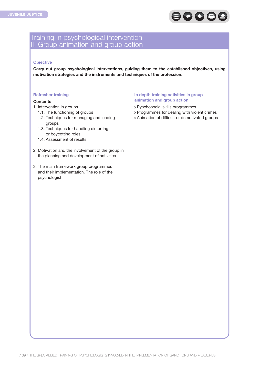

### Training in psychological intervention II. Group animation and group action

#### **Objective**

**Carry out group psychological interventions, guiding them to the established objectives, using motivation strategies and the instruments and techniques of the profession.**

#### **Refresher training**

#### **Contents**

- 1. Intervention in groups
	- 1.1. The functioning of groups
	- 1.2. Techniques for managing and leading groups
	- 1.3. Techniques for handling distorting or boycotting roles
	- 1.4. Assessment of results
- 2. Motivation and the involvement of the group in the planning and development of activities
- 3. The main framework group programmes and their implementation. The role of the psychologist

#### **In depth training activities in group animation and group action**

- Pyschosocial skills programmes
- Programmes for dealing with violent crimes
- Animation of difficult or demotivated groups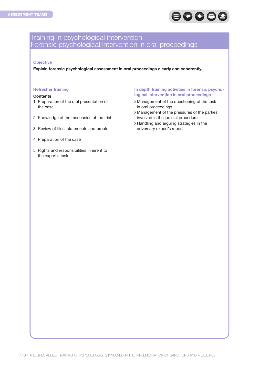

### Training in psychological intervention Forensic psychological intervention in oral proceedings

#### **Objective**

**Explain forensic psychological assessment in oral proceedings clearly and coherently.**

#### **Refresher training**

#### **Contents**

- 1. Preparation of the oral presentation of the case
- 2. Knowledge of the mechanics of the trial
- 3. Review of files, statements and proofs
- 4. Preparation of the case
- 5. Rights and responsibilities inherent to the expert's task

#### **In depth training activities in forensic psychological intervention in oral proceedings**

- Management of the questioning of the task in oral proceedings
- Management of the pressures of the parties involved in the judicial procedure
- Handling and arguing strategies in the adversary expert's report